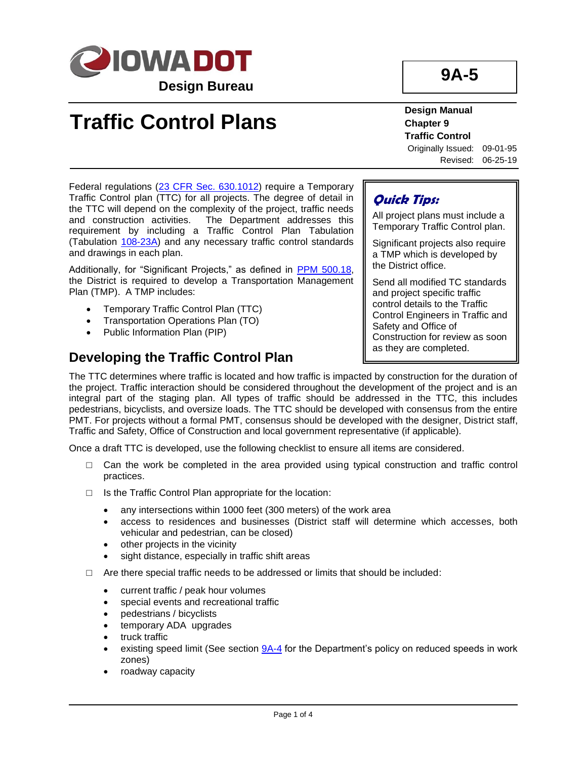

# **Traffic Control Plans**

**9A-5**

**Design Manual Chapter 9 Traffic Control** Originally Issued: 09-01-95 Revised: 06-25-19

Federal regulations [\(23 CFR Sec. 630.1012\)](https://www.ecfr.gov/cgi-bin/text-idx?SID=f621061ff1b8540df7c76882a714ec2d&mc=true&node=se23.1.630_11012&rgn=div8) require a Temporary Traffic Control plan (TTC) for all projects. The degree of detail in the TTC will depend on the complexity of the project, traffic needs and construction activities. The Department addresses this requirement by including a Traffic Control Plan Tabulation (Tabulation [108-23A\)](../tnt/PDFsandWebFiles/IndividualPDFs/0108-23A.PDF) and any necessary traffic control standards and drawings in each plan.

Additionally, for "Significant Projects," as defined in [PPM 500.18,](https://iadot.sharepoint.com/sites/AS/PolicyLegislative/DOT%20Policies%20and%20Procedures/500.18.pdf) the District is required to develop a Transportation Management Plan (TMP). A TMP includes:

- Temporary Traffic Control Plan (TTC)
- Transportation Operations Plan (TO)
- Public Information Plan (PIP)

## **Developing the Traffic Control Plan**

## **Quick Tips:**

All project plans must include a Temporary Traffic Control plan.

Significant projects also require a TMP which is developed by the District office.

Send all modified TC standards and project specific traffic control details to the Traffic Control Engineers in Traffic and Safety and Office of Construction for review as soon as they are completed.

The TTC determines where traffic is located and how traffic is impacted by construction for the duration of the project. Traffic interaction should be considered throughout the development of the project and is an integral part of the staging plan. All types of traffic should be addressed in the TTC, this includes pedestrians, bicyclists, and oversize loads. The TTC should be developed with consensus from the entire PMT. For projects without a formal PMT, consensus should be developed with the designer, District staff, Traffic and Safety, Office of Construction and local government representative (if applicable).

Once a draft TTC is developed, use the following checklist to ensure all items are considered.

- $\Box$  Can the work be completed in the area provided using typical construction and traffic control practices.
- □ Is the Traffic Control Plan appropriate for the location:
	- any intersections within 1000 feet (300 meters) of the work area
	- access to residences and businesses (District staff will determine which accesses, both vehicular and pedestrian, can be closed)
	- other projects in the vicinity
	- sight distance, especially in traffic shift areas
- $\Box$  Are there special traffic needs to be addressed or limits that should be included:
	- current traffic / peak hour volumes
	- special events and recreational traffic
	- pedestrians / bicyclists
	- temporary ADA upgrades
	- truck traffic
	- existing speed limit (See section  $9A-4$  for the Department's policy on reduced speeds in work zones)
	- roadway capacity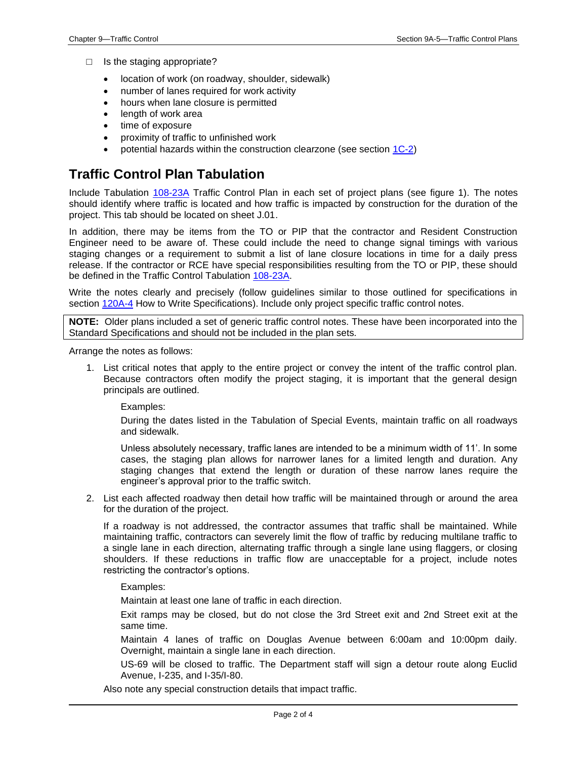- $\Box$  Is the staging appropriate?
	- location of work (on roadway, shoulder, sidewalk)
	- number of lanes required for work activity
	- hours when lane closure is permitted
	- length of work area
	- time of exposure
	- proximity of traffic to unfinished work
	- potential hazards within the construction clearzone (see section [1C-2\)](01c-02.pdf)

#### **Traffic Control Plan Tabulation**

Include Tabulation [108-23A](../tnt/PDFsandWebFiles/IndividualPDFs/0108-23A.PDF) Traffic Control Plan in each set of project plans (see figure 1). The notes should identify where traffic is located and how traffic is impacted by construction for the duration of the project. This tab should be located on sheet J.01.

In addition, there may be items from the TO or PIP that the contractor and Resident Construction Engineer need to be aware of. These could include the need to change signal timings with various staging changes or a requirement to submit a list of lane closure locations in time for a daily press release. If the contractor or RCE have special responsibilities resulting from the TO or PIP, these should be defined in the Traffic Control Tabulation [108-23A.](../tnt/PDFsandWebFiles/IndividualPDFs/0108-23A.PDF)

Write the notes clearly and precisely (follow guidelines similar to those outlined for specifications in section [120A-4](120A-04.pdf) How to Write Specifications). Include only project specific traffic control notes.

**NOTE:** Older plans included a set of generic traffic control notes. These have been incorporated into the Standard Specifications and should not be included in the plan sets.

Arrange the notes as follows:

1. List critical notes that apply to the entire project or convey the intent of the traffic control plan. Because contractors often modify the project staging, it is important that the general design principals are outlined.

Examples:

During the dates listed in the Tabulation of Special Events, maintain traffic on all roadways and sidewalk.

Unless absolutely necessary, traffic lanes are intended to be a minimum width of 11'. In some cases, the staging plan allows for narrower lanes for a limited length and duration. Any staging changes that extend the length or duration of these narrow lanes require the engineer's approval prior to the traffic switch.

2. List each affected roadway then detail how traffic will be maintained through or around the area for the duration of the project.

If a roadway is not addressed, the contractor assumes that traffic shall be maintained. While maintaining traffic, contractors can severely limit the flow of traffic by reducing multilane traffic to a single lane in each direction, alternating traffic through a single lane using flaggers, or closing shoulders. If these reductions in traffic flow are unacceptable for a project, include notes restricting the contractor's options.

Examples:

Maintain at least one lane of traffic in each direction.

Exit ramps may be closed, but do not close the 3rd Street exit and 2nd Street exit at the same time.

Maintain 4 lanes of traffic on Douglas Avenue between 6:00am and 10:00pm daily. Overnight, maintain a single lane in each direction.

US-69 will be closed to traffic. The Department staff will sign a detour route along Euclid Avenue, I-235, and I-35/I-80.

Also note any special construction details that impact traffic.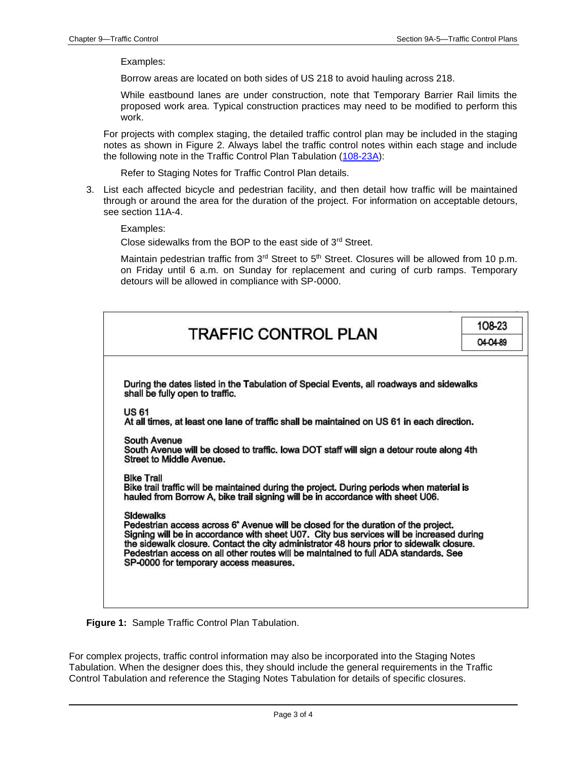Examples:

Borrow areas are located on both sides of US 218 to avoid hauling across 218.

While eastbound lanes are under construction, note that Temporary Barrier Rail limits the proposed work area. Typical construction practices may need to be modified to perform this work.

For projects with complex staging, the detailed traffic control plan may be included in the staging notes as shown in Figure 2. Always label the traffic control notes within each stage and include the following note in the Traffic Control Plan Tabulation [\(108-23A\)](../tnt/PDFsandWebFiles/IndividualPDFs/0108-23A.PDF):

Refer to Staging Notes for Traffic Control Plan details.

3. List each affected bicycle and pedestrian facility, and then detail how traffic will be maintained through or around the area for the duration of the project. For information on acceptable detours, see section 11A-4.

Examples:

Close sidewalks from the BOP to the east side of 3rd Street.

Maintain pedestrian traffic from 3<sup>rd</sup> Street to 5<sup>th</sup> Street. Closures will be allowed from 10 p.m. on Friday until 6 a.m. on Sunday for replacement and curing of curb ramps. Temporary detours will be allowed in compliance with SP-0000.

| <b>TRAFFIC CONTROL PLAN</b>                                                                                                                                                                                                                                                                                                                                                                                                                 | 108-23<br>04-04-89 |
|---------------------------------------------------------------------------------------------------------------------------------------------------------------------------------------------------------------------------------------------------------------------------------------------------------------------------------------------------------------------------------------------------------------------------------------------|--------------------|
| During the dates listed in the Tabulation of Special Events, all roadways and sidewalks<br>shall be fully open to traffic.                                                                                                                                                                                                                                                                                                                  |                    |
| US 61<br>At all times, at least one lane of traffic shall be maintained on US 61 in each direction.                                                                                                                                                                                                                                                                                                                                         |                    |
| South Avenue<br>South Avenue will be closed to traffic. Iowa DOT staff will sign a detour route along 4th<br><b>Street to Middle Avenue.</b>                                                                                                                                                                                                                                                                                                |                    |
| <b>Bike Trail</b><br>Bike trail traffic will be maintained during the project. During periods when material is<br>hauled from Borrow A, bike trail signing will be in accordance with sheet U06.                                                                                                                                                                                                                                            |                    |
| <b>Sidewalks</b><br>Pedestrian access across 6 <sup>*</sup> Avenue will be closed for the duration of the project.<br>Signing will be in accordance with sheet U07. City bus services will be increased during<br>the sidewalk closure. Contact the city administrator 48 hours prior to sidewalk closure.<br>Pedestrian access on all other routes will be maintained to full ADA standards. See<br>SP-0000 for temporary access measures. |                    |
|                                                                                                                                                                                                                                                                                                                                                                                                                                             |                    |

**Figure 1:** Sample Traffic Control Plan Tabulation.

For complex projects, traffic control information may also be incorporated into the Staging Notes Tabulation. When the designer does this, they should include the general requirements in the Traffic Control Tabulation and reference the Staging Notes Tabulation for details of specific closures.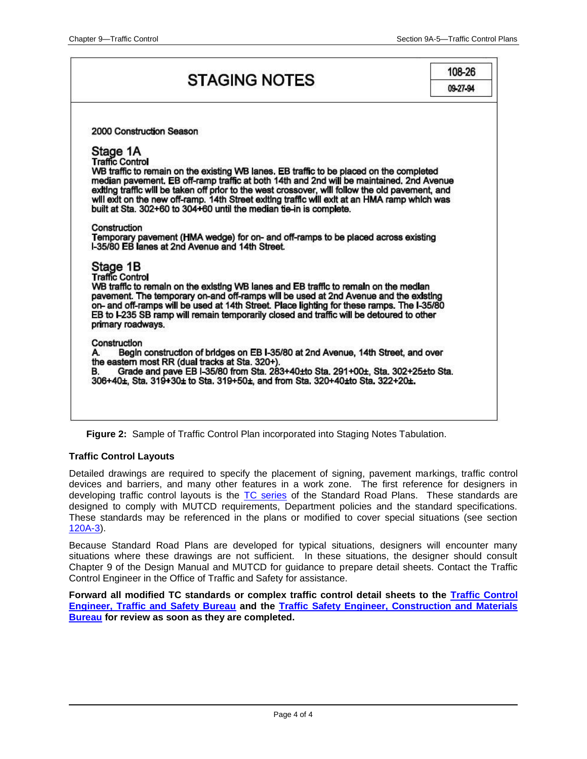## **STAGING NOTES**

108-26 09 27 94

| 2000 Construction Season<br>Stage 1A<br><b>Traffic Control</b><br>WB traffic to remain on the existing WB lanes. EB traffic to be placed on the completed<br>median pavement. EB off-ramp traffic at both 14th and 2nd will be maintained. 2nd Avenue<br>exiting traffic will be taken off prior to the west crossover, will follow the old pavement, and<br>will exit on the new off-ramp. 14th Street exiting traffic will exit at an HMA ramp which was<br>built at Sta. 302+60 to 304+60 until the median tie-in is complete.<br>Construction<br>Temporary pavement (HMA wedge) for on- and off-ramps to be placed across existing<br>1.35/80 FB lanes at 2nd Avenue and 14th Street<br>Stage 1B<br><b>Traffic Control</b><br>WB traffic to remain on the existing WB lanes and EB traffic to remain on the median<br>pavement. The temporary on-and off-ramps will be used at 2nd Avenue and the existing |  |
|----------------------------------------------------------------------------------------------------------------------------------------------------------------------------------------------------------------------------------------------------------------------------------------------------------------------------------------------------------------------------------------------------------------------------------------------------------------------------------------------------------------------------------------------------------------------------------------------------------------------------------------------------------------------------------------------------------------------------------------------------------------------------------------------------------------------------------------------------------------------------------------------------------------|--|
|                                                                                                                                                                                                                                                                                                                                                                                                                                                                                                                                                                                                                                                                                                                                                                                                                                                                                                                |  |
|                                                                                                                                                                                                                                                                                                                                                                                                                                                                                                                                                                                                                                                                                                                                                                                                                                                                                                                |  |
|                                                                                                                                                                                                                                                                                                                                                                                                                                                                                                                                                                                                                                                                                                                                                                                                                                                                                                                |  |
|                                                                                                                                                                                                                                                                                                                                                                                                                                                                                                                                                                                                                                                                                                                                                                                                                                                                                                                |  |
|                                                                                                                                                                                                                                                                                                                                                                                                                                                                                                                                                                                                                                                                                                                                                                                                                                                                                                                |  |
|                                                                                                                                                                                                                                                                                                                                                                                                                                                                                                                                                                                                                                                                                                                                                                                                                                                                                                                |  |
|                                                                                                                                                                                                                                                                                                                                                                                                                                                                                                                                                                                                                                                                                                                                                                                                                                                                                                                |  |
|                                                                                                                                                                                                                                                                                                                                                                                                                                                                                                                                                                                                                                                                                                                                                                                                                                                                                                                |  |
|                                                                                                                                                                                                                                                                                                                                                                                                                                                                                                                                                                                                                                                                                                                                                                                                                                                                                                                |  |
|                                                                                                                                                                                                                                                                                                                                                                                                                                                                                                                                                                                                                                                                                                                                                                                                                                                                                                                |  |
|                                                                                                                                                                                                                                                                                                                                                                                                                                                                                                                                                                                                                                                                                                                                                                                                                                                                                                                |  |
| on- and off-ramps will be used at 14th Street. Place lighting for these ramps. The I-35/80<br>EB to I-235 SB ramp will remain temporarily closed and traffic will be detoured to other                                                                                                                                                                                                                                                                                                                                                                                                                                                                                                                                                                                                                                                                                                                         |  |
| primary roadways.                                                                                                                                                                                                                                                                                                                                                                                                                                                                                                                                                                                                                                                                                                                                                                                                                                                                                              |  |
| Construction                                                                                                                                                                                                                                                                                                                                                                                                                                                                                                                                                                                                                                                                                                                                                                                                                                                                                                   |  |
| Begin construction of bridges on EB I-35/80 at 2nd Avenue, 14th Street, and over<br>A.                                                                                                                                                                                                                                                                                                                                                                                                                                                                                                                                                                                                                                                                                                                                                                                                                         |  |
| the eastern most RR (dual tracks at Sta. 320+).<br>Grade and pave EB I-35/80 from Sta. 283+40±to Sta. 291+00±, Sta. 302+25±to Sta.<br>В.                                                                                                                                                                                                                                                                                                                                                                                                                                                                                                                                                                                                                                                                                                                                                                       |  |
| 306+40±, Sta. 319+30± to Sta. 319+50±, and from Sta. 320+40±to Sta. 322+20±.                                                                                                                                                                                                                                                                                                                                                                                                                                                                                                                                                                                                                                                                                                                                                                                                                                   |  |
|                                                                                                                                                                                                                                                                                                                                                                                                                                                                                                                                                                                                                                                                                                                                                                                                                                                                                                                |  |
|                                                                                                                                                                                                                                                                                                                                                                                                                                                                                                                                                                                                                                                                                                                                                                                                                                                                                                                |  |
|                                                                                                                                                                                                                                                                                                                                                                                                                                                                                                                                                                                                                                                                                                                                                                                                                                                                                                                |  |

**Figure 2:** Sample of Traffic Control Plan incorporated into Staging Notes Tabulation.

#### **Traffic Control Layouts**

Detailed drawings are required to specify the placement of signing, pavement markings, traffic control devices and barriers, and many other features in a work zone. The first reference for designers in developing traffic control layouts is the [TC series](../stdplne_tc) of the Standard Road Plans. These standards are designed to comply with MUTCD requirements, Department policies and the standard specifications. These standards may be referenced in the plans or modified to cover special situations (see section [120A-3\)](120a-03.pdf).

Because Standard Road Plans are developed for typical situations, designers will encounter many situations where these drawings are not sufficient. In these situations, the designer should consult Chapter 9 of the Design Manual and MUTCD for guidance to prepare detail sheets. Contact the Traffic Control Engineer in the Office of Traffic and Safety for assistance.

Forward all modified TC standards or complex traffic control detail sheets to the **Traffic Control [Engineer, Traffic and Safety Bureau](01B-02/TrafficControlEngineer.pdf) and the [Traffic Safety Engineer, Construction and Materials](01B-02/TrafficSafetyEngineerConstructionandMaterialsBureau.pdf)  [Bureau](01B-02/TrafficSafetyEngineerConstructionandMaterialsBureau.pdf) for review as soon as they are completed.**